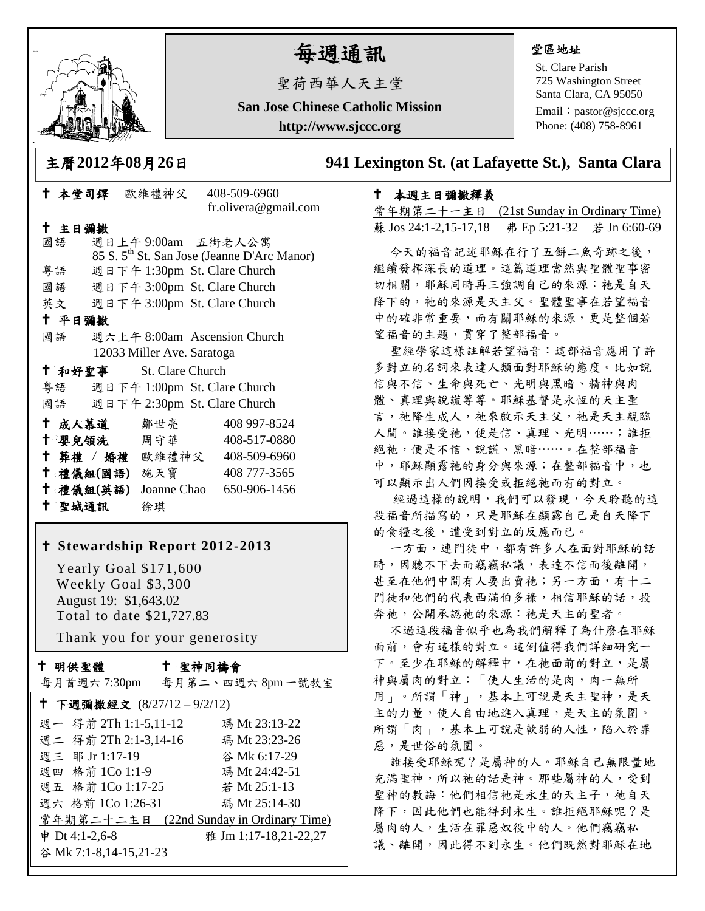

# 每週通訊

聖荷西華人天主堂

**San Jose Chinese Catholic Mission http://www.sjccc.org**

# 堂區地址

St. Clare Parish 725 Washington Street Santa Clara, CA 95050

Email: [pastor@sjccc.org](mailto:pastor@sjccc.org) Phone: (408) 758-8961

 本堂司鐸 歐維禮神父 408-509-6960 fr.olivera@gmail.com

#### 主日彌撒

國語 週日上午 9:00am 五街老人公寓 85 S. 5th St. San Jose (Jeanne D'Arc Manor) 粵語 週日下午 1:30pm St. Clare Church 國語 週日下午 3:00pm St. Clare Church 英文 週日下午 3:00pm St. Clare Church 平日彌撒 國語 週六上午 8:00am Ascension Church 12033 Miller Ave. Saratoga 和好聖事 St. Clare Church 粵語 週日下午 1:00pm St. Clare Church 國語 週日下午 2:30pm St. Clare Church 成人慕道 鄒世亮 408 997-8524 十 嬰兒領洗 周守華 408-517-0880 葬禮 / 婚禮 歐維禮神父 408-509-6960 禮儀組**(**國語**)** 施天寶 408 777-3565 禮儀組**(**英語**)** Joanne Chao 650-906-1456 聖城通訊 徐琪

### **Stewardship Report 2012-2013**

 Yearly Goal \$171,600 Weekly Goal \$3,300 August 19: \$1,643.02 Total to date \$21,727.83

Thank you for your generosity

# 明供聖體

#### 聖神同禱會

| 每月首週六 7:30pm              | 每月第二、四週六8pm一號教室                |
|---------------------------|--------------------------------|
| † 下週彌撒經文 (8/27/12-9/2/12) |                                |
| 週一 得前 2Th 1:1-5,11-12     | 瑪 Mt 23:13-22                  |
| 週二 得前 2Th 2:1-3,14-16     | 瑪 Mt 23:23-26                  |
| 週三 耶 Jr 1:17-19           | 谷 Mk 6:17-29                   |
| 週四 格前 1Co 1:1-9           | 瑪 Mt 24:42-51                  |
| 週五 格前 1Co 1:17-25         | 若 Mt 25:1-13                   |
| 週六 格前 1Co 1:26-31         | 瑪 Mt 25:14-30                  |
| 常年期第二十二主日                 | (22nd Sunday in Ordinary Time) |
| 申 Dt 4:1-2,6-8            | 雅 Jm 1:17-18,21-22,27          |
| 谷 Mk 7:1-8,14-15,21-23    |                                |

# 主曆**2012**年**08**月**26**日 **941 Lexington St. (at Lafayette St.), Santa Clara**

### 本週主日彌撒釋義

常年期第二十一主日 (21st Sunday in Ordinary Time) 蘇 Jos 24:1-2,15-17,18 弗 Ep 5:21-32 若 Jn 6:60-69

今天的福音記述耶穌在行了五餅二魚奇跡之後, 繼續發揮深長的道理。這篇道理當然與聖體聖事密 切相關,耶穌同時再三強調自己的來源:祂是自天 降下的,祂的來源是天主父。聖體聖事在若望福音 中的確非常重要,而有關耶穌的來源,更是整個若 望福音的主題,貫穿了整部福音。

聖經學家這樣註解若望福音:這部福音應用了許 多對立的名詞來表達人類面對耶穌的態度。比如說 信與不信、生命與死亡、光明與黑暗、精神與肉 體、真理與說謊等等。耶穌基督是永恆的天主聖 言,祂降生成人,祂來啟示天主父,祂是天主親臨 人間。誰接受祂,便是信、真理、光明……;誰拒 絕祂,便是不信、說謊、黑暗……。在整部福音 中,耶穌顯露祂的身分與來源;在整部福音中,也 可以顯示出人們因接受或拒絕祂而有的對立。

經過這樣的說明,我們可以發現,今天聆聽的這 段福音所描寫的,只是耶穌在顯露自己是自天降下 的食糧之後,遭受到對立的反應而已。

一方面,連門徒中,都有許多人在面對耶穌的話 時,因聽不下去而竊竊私議,表達不信而後離開, 甚至在他們中間有人要出賣祂;另一方面,有十二 門徒和他們的代表西滿伯多祿,相信耶穌的話,投 奔祂,公開承認祂的來源:祂是天主的聖者。

不過這段福音似乎也為我們解釋了為什麼在耶穌 面前,會有這樣的對立。這倒值得我們詳細研究一 下。至少在耶穌的解釋中,在祂面前的對立,是屬 神與屬肉的對立:「使人生活的是肉,肉一無所 用」。所謂「神」,基本上可說是天主聖神,是天 主的力量,使人自由地進入真理,是天主的氛圍。 所謂「肉」,基本上可說是軟弱的人性,陷入於罪 惡,是世俗的氛圍。

誰接受耶穌呢?是屬神的人。耶穌自己無限量地 充滿聖神,所以祂的話是神。那些屬神的人,受到 聖神的教誨:他們相信祂是永生的天主子,祂自天 降下,因此他們也能得到永生。誰拒絕耶穌呢?是 屬肉的人,生活在罪惡奴役中的人。他們竊竊私 議、離開,因此得不到永生。他們既然對耶穌在地